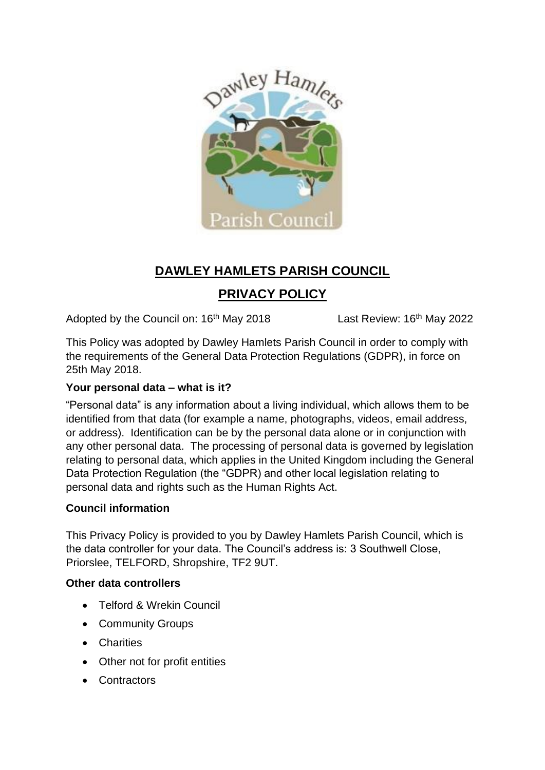

# **DAWLEY HAMLETS PARISH COUNCIL PRIVACY POLICY**

Adopted by the Council on: 16<sup>th</sup> May 2018 Last Review: 16<sup>th</sup> May 2022

This Policy was adopted by Dawley Hamlets Parish Council in order to comply with the requirements of the General Data Protection Regulations (GDPR), in force on 25th May 2018.

# **Your personal data – what is it?**

"Personal data" is any information about a living individual, which allows them to be identified from that data (for example a name, photographs, videos, email address, or address). Identification can be by the personal data alone or in conjunction with any other personal data. The processing of personal data is governed by legislation relating to personal data, which applies in the United Kingdom including the General Data Protection Regulation (the "GDPR) and other local legislation relating to personal data and rights such as the Human Rights Act.

# **Council information**

This Privacy Policy is provided to you by Dawley Hamlets Parish Council, which is the data controller for your data. The Council's address is: 3 Southwell Close, Priorslee, TELFORD, Shropshire, TF2 9UT.

# **Other data controllers**

- Telford & Wrekin Council
- Community Groups
- Charities
- Other not for profit entities
- Contractors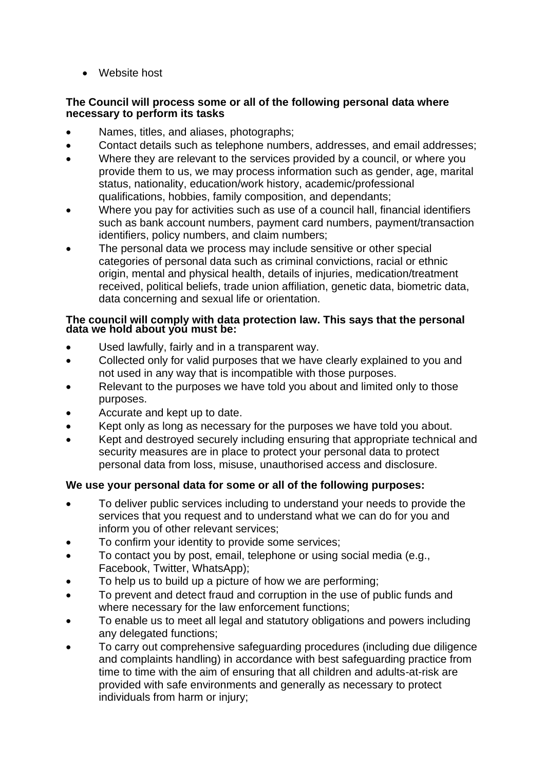• Website host

#### **The Council will process some or all of the following personal data where necessary to perform its tasks**

- Names, titles, and aliases, photographs;
- Contact details such as telephone numbers, addresses, and email addresses;
- Where they are relevant to the services provided by a council, or where you provide them to us, we may process information such as gender, age, marital status, nationality, education/work history, academic/professional qualifications, hobbies, family composition, and dependants;
- Where you pay for activities such as use of a council hall, financial identifiers such as bank account numbers, payment card numbers, payment/transaction identifiers, policy numbers, and claim numbers;
- The personal data we process may include sensitive or other special categories of personal data such as criminal convictions, racial or ethnic origin, mental and physical health, details of injuries, medication/treatment received, political beliefs, trade union affiliation, genetic data, biometric data, data concerning and sexual life or orientation.

#### **The council will comply with data protection law. This says that the personal data we hold about you must be:**

- Used lawfully, fairly and in a transparent way.
- Collected only for valid purposes that we have clearly explained to you and not used in any way that is incompatible with those purposes.
- Relevant to the purposes we have told you about and limited only to those purposes.
- Accurate and kept up to date.
- Kept only as long as necessary for the purposes we have told you about.
- Kept and destroyed securely including ensuring that appropriate technical and security measures are in place to protect your personal data to protect personal data from loss, misuse, unauthorised access and disclosure.

## **We use your personal data for some or all of the following purposes:**

- To deliver public services including to understand your needs to provide the services that you request and to understand what we can do for you and inform you of other relevant services;
- To confirm your identity to provide some services;
- To contact you by post, email, telephone or using social media (e.g., Facebook, Twitter, WhatsApp);
- To help us to build up a picture of how we are performing;
- To prevent and detect fraud and corruption in the use of public funds and where necessary for the law enforcement functions;
- To enable us to meet all legal and statutory obligations and powers including any delegated functions;
- To carry out comprehensive safeguarding procedures (including due diligence and complaints handling) in accordance with best safeguarding practice from time to time with the aim of ensuring that all children and adults-at-risk are provided with safe environments and generally as necessary to protect individuals from harm or injury;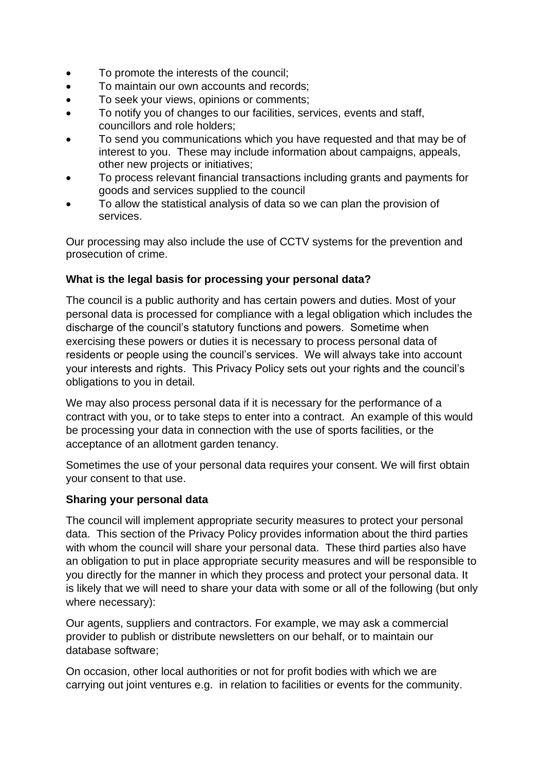- To promote the interests of the council;
- To maintain our own accounts and records;
- To seek your views, opinions or comments;
- To notify you of changes to our facilities, services, events and staff, councillors and role holders;
- To send you communications which you have requested and that may be of interest to you. These may include information about campaigns, appeals, other new projects or initiatives;
- To process relevant financial transactions including grants and payments for goods and services supplied to the council
- To allow the statistical analysis of data so we can plan the provision of services.

Our processing may also include the use of CCTV systems for the prevention and prosecution of crime.

#### **What is the legal basis for processing your personal data?**

The council is a public authority and has certain powers and duties. Most of your personal data is processed for compliance with a legal obligation which includes the discharge of the council's statutory functions and powers. Sometime when exercising these powers or duties it is necessary to process personal data of residents or people using the council's services. We will always take into account your interests and rights. This Privacy Policy sets out your rights and the council's obligations to you in detail.

We may also process personal data if it is necessary for the performance of a contract with you, or to take steps to enter into a contract. An example of this would be processing your data in connection with the use of sports facilities, or the acceptance of an allotment garden tenancy.

Sometimes the use of your personal data requires your consent. We will first obtain your consent to that use.

#### **Sharing your personal data**

The council will implement appropriate security measures to protect your personal data. This section of the Privacy Policy provides information about the third parties with whom the council will share your personal data. These third parties also have an obligation to put in place appropriate security measures and will be responsible to you directly for the manner in which they process and protect your personal data. It is likely that we will need to share your data with some or all of the following (but only where necessary):

Our agents, suppliers and contractors. For example, we may ask a commercial provider to publish or distribute newsletters on our behalf, or to maintain our database software;

On occasion, other local authorities or not for profit bodies with which we are carrying out joint ventures e.g. in relation to facilities or events for the community.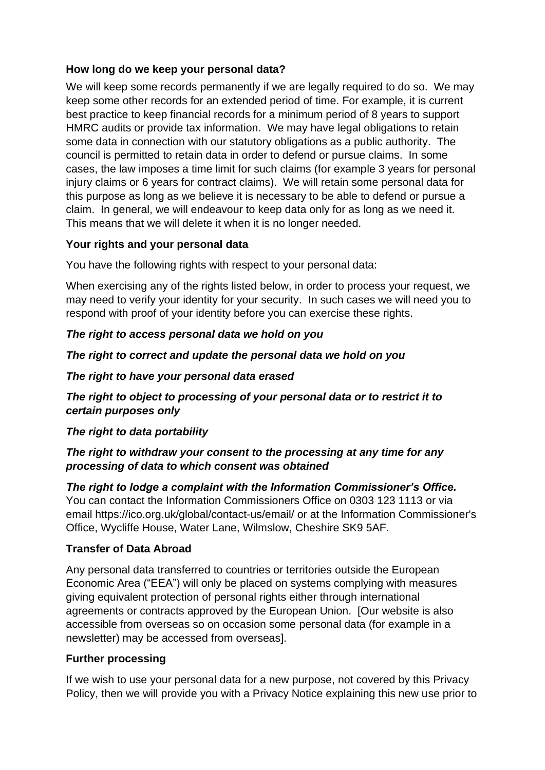## **How long do we keep your personal data?**

We will keep some records permanently if we are legally required to do so. We may keep some other records for an extended period of time. For example, it is current best practice to keep financial records for a minimum period of 8 years to support HMRC audits or provide tax information. We may have legal obligations to retain some data in connection with our statutory obligations as a public authority. The council is permitted to retain data in order to defend or pursue claims. In some cases, the law imposes a time limit for such claims (for example 3 years for personal injury claims or 6 years for contract claims). We will retain some personal data for this purpose as long as we believe it is necessary to be able to defend or pursue a claim. In general, we will endeavour to keep data only for as long as we need it. This means that we will delete it when it is no longer needed.

## **Your rights and your personal data**

You have the following rights with respect to your personal data:

When exercising any of the rights listed below, in order to process your request, we may need to verify your identity for your security. In such cases we will need you to respond with proof of your identity before you can exercise these rights.

#### *The right to access personal data we hold on you*

*The right to correct and update the personal data we hold on you*

#### *The right to have your personal data erased*

*The right to object to processing of your personal data or to restrict it to certain purposes only*

## *The right to data portability*

## *The right to withdraw your consent to the processing at any time for any processing of data to which consent was obtained*

*The right to lodge a complaint with the Information Commissioner's Office.*  You can contact the Information Commissioners Office on 0303 123 1113 or via email https://ico.org.uk/global/contact-us/email/ or at the Information Commissioner's Office, Wycliffe House, Water Lane, Wilmslow, Cheshire SK9 5AF.

#### **Transfer of Data Abroad**

Any personal data transferred to countries or territories outside the European Economic Area ("EEA") will only be placed on systems complying with measures giving equivalent protection of personal rights either through international agreements or contracts approved by the European Union. [Our website is also accessible from overseas so on occasion some personal data (for example in a newsletter) may be accessed from overseas].

## **Further processing**

If we wish to use your personal data for a new purpose, not covered by this Privacy Policy, then we will provide you with a Privacy Notice explaining this new use prior to